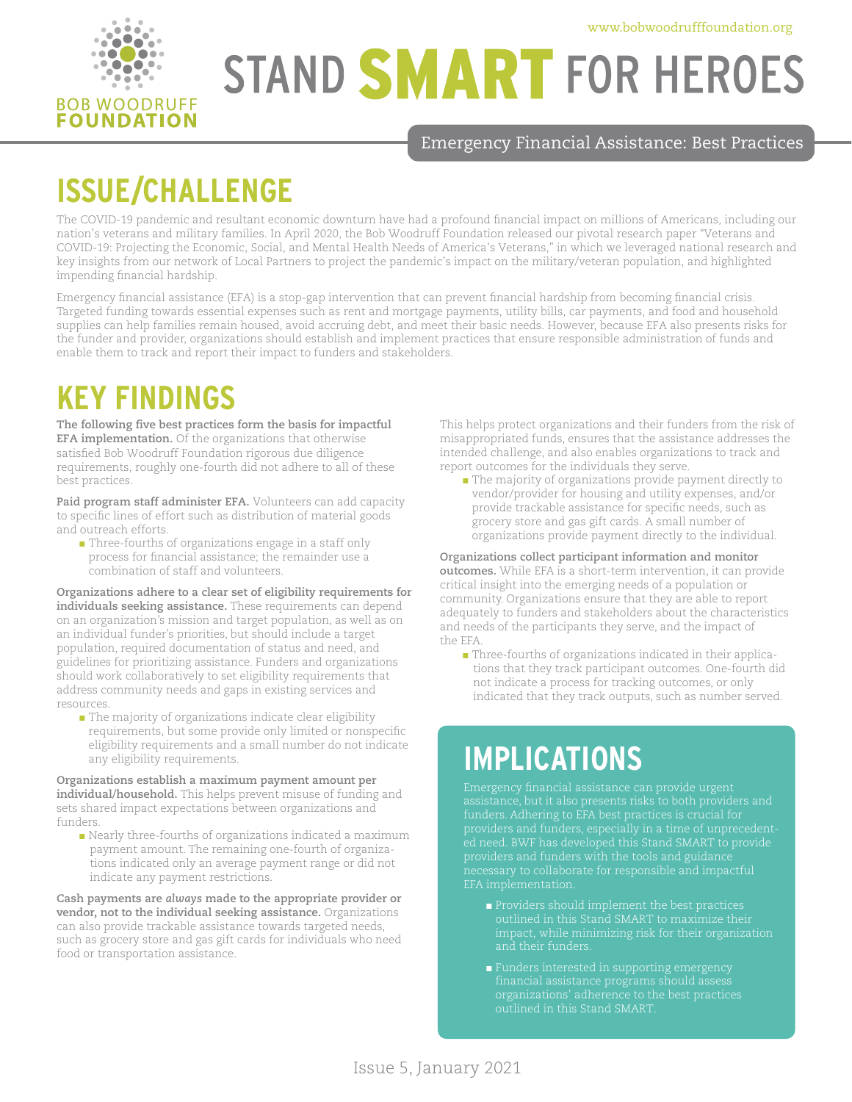

# **STAND SMART FOR HEROES**

Emergency Financial Assistance: Best Practices

## **ISSUE/CHALLENGE**

The COVID-19 pandemic and resultant economic downturn have had a profound financial impact on millions of Americans, including our nation's veterans and military families. In April 2020, the Bob Woodruff Foundation released our pivotal research paper "Veterans and COVID-19: Projecting the Economic, Social, and Mental Health Needs of America's Veterans," in which we leveraged national research and key insights from our network of Local Partners to project the pandemic's impact on the military/veteran population, and highlighted impending financial hardship.

Emergency financial assistance (EFA) is a stop-gap intervention that can prevent financial hardship from becoming financial crisis. Targeted funding towards essential expenses such as rent and mortgage payments, utility bills, car payments, and food and household supplies can help families remain housed, avoid accruing debt, and meet their basic needs. However, because EFA also presents risks for the funder and provider, organizations should establish and implement practices that ensure responsible administration of funds and enable them to track and report their impact to funders and stakeholders.

### **KEY FINDINGS**

**The following five best practices form the basis for impactful EFA implementation.** Of the organizations that otherwise satisfied Bob Woodruff Foundation rigorous due diligence requirements, roughly one-fourth did not adhere to all of these best practices.

**Paid program staff administer EFA.** Volunteers can add capacity to specific lines of effort such as distribution of material goods and outreach efforts.

■ Three-fourths of organizations engage in a staff only process for financial assistance; the remainder use a combination of staff and volunteers.

**Organizations adhere to a clear set of eligibility requirements for individuals seeking assistance.** These requirements can depend on an organization's mission and target population, as well as on an individual funder's priorities, but should include a target population, required documentation of status and need, and guidelines for prioritizing assistance. Funders and organizations should work collaboratively to set eligibility requirements that address community needs and gaps in existing services and resources.

■ The majority of organizations indicate clear eligibility requirements, but some provide only limited or nonspecific eligibility requirements and a small number do not indicate any eligibility requirements.

**Organizations establish a maximum payment amount per individual/household.** This helps prevent misuse of funding and sets shared impact expectations between organizations and funders.

■ Nearly three-fourths of organizations indicated a maximum payment amount. The remaining one-fourth of organizations indicated only an average payment range or did not indicate any payment restrictions.

**Cash payments are** *always* **made to the appropriate provider or vendor, not to the individual seeking assistance.** Organizations can also provide trackable assistance towards targeted needs, such as grocery store and gas gift cards for individuals who need food or transportation assistance.

This helps protect organizations and their funders from the risk of misappropriated funds, ensures that the assistance addresses the intended challenge, and also enables organizations to track and report outcomes for the individuals they serve.

■ The majority of organizations provide payment directly to vendor/provider for housing and utility expenses, and/or provide trackable assistance for specific needs, such as grocery store and gas gift cards. A small number of organizations provide payment directly to the individual.

**Organizations collect participant information and monitor outcomes.** While EFA is a short-term intervention, it can provide critical insight into the emerging needs of a population or community. Organizations ensure that they are able to report adequately to funders and stakeholders about the characteristics and needs of the participants they serve, and the impact of the EFA.

■ Three-fourths of organizations indicated in their applications that they track participant outcomes. One-fourth did not indicate a process for tracking outcomes, or only indicated that they track outputs, such as number served.

#### **IMPLICATIONS**

ed need. BWF has developed this Stand SMART to provide necessary to collaborate for responsible and impactful

- 
- Funders interested in supporting emergency outlined in this Stand SMART.